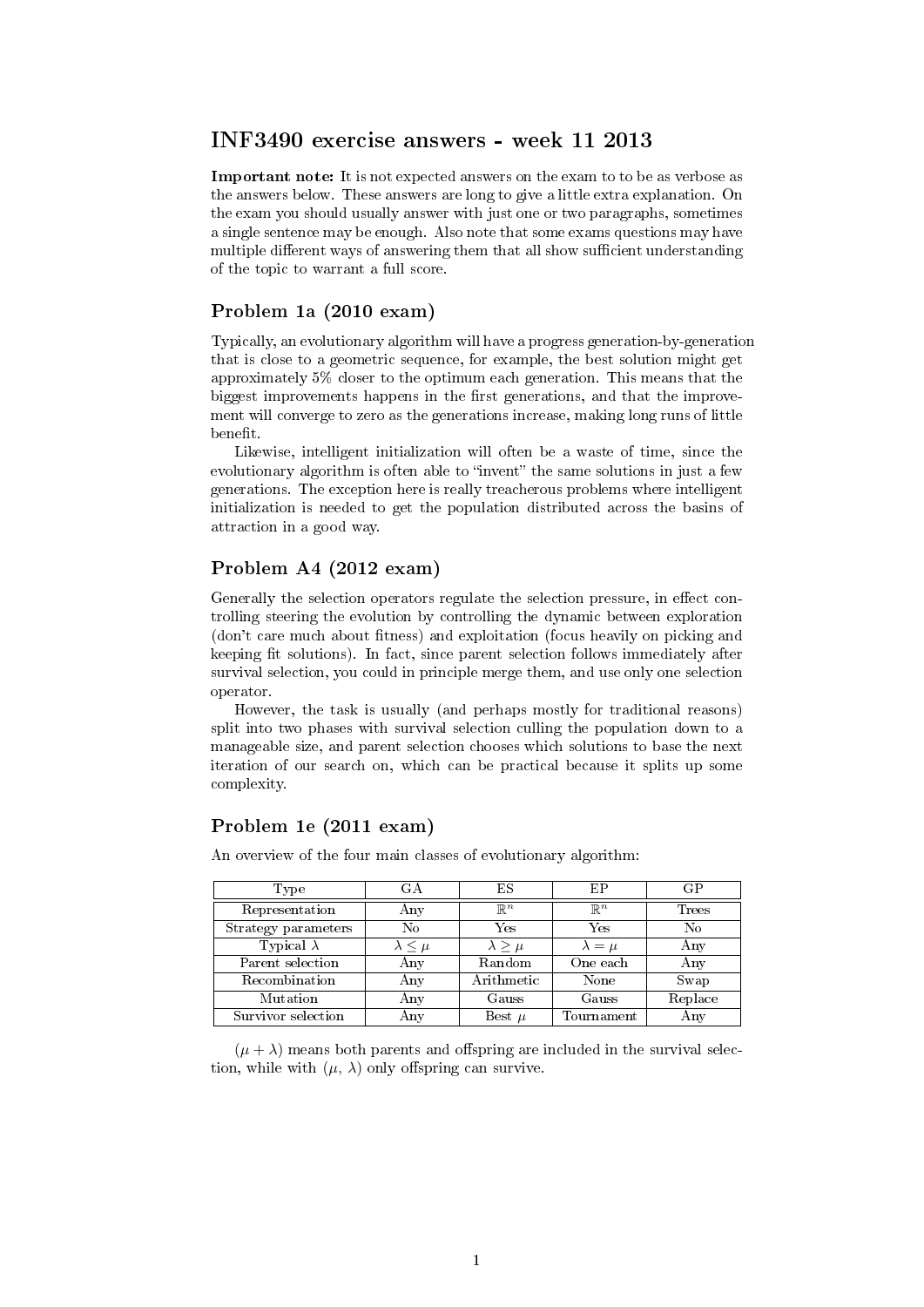## INF3490 exercise answers - week 11 2013

Important note: It is not expected answers on the exam to to be as verbose as the answers below. These answers are long to give a little extra explanation. On the exam you should usually answer with just one or two paragraphs, sometimes a single sentence may be enough. Also note that some exams questions may have multiple different ways of answering them that all show sufficient understanding of the topic to warrant a full score.

### Problem 1a (2010 exam)

Typically, an evolutionary algorithm will have a progress generation-by-generation that is close to a geometric sequence, for example, the best solution might get approximately 5% closer to the optimum each generation. This means that the biggest improvements happens in the first generations, and that the improvement will converge to zero as the generations increase, making long runs of little benefit.

Likewise, intelligent initialization will often be a waste of time, since the evolutionary algorithm is often able to "invent" the same solutions in just a few generations. The exception here is really treacherous problems where intelligent initialization is needed to get the population distributed across the basins of attraction in a good way.

## Problem A4 (2012 exam)

Generally the selection operators regulate the selection pressure, in effect controlling steering the evolution by controlling the dynamic between exploration (don't care much about fitness) and exploitation (focus heavily on picking and keeping fit solutions). In fact, since parent selection follows immediately after survival selection, you could in principle merge them, and use only one selection operator.

However, the task is usually (and perhaps mostly for traditional reasons) split into two phases with survival selection culling the population down to a manageable size, and parent selection chooses which solutions to base the next iteration of our search on, which can be practical because it splits up some complexity.

# Problem 1e (2011 exam)

| Type                | GА                 | ΕS              | EP              | GP      |
|---------------------|--------------------|-----------------|-----------------|---------|
| Representation      | Any                | $\mathbb{R}^n$  | $\mathbb{R}^n$  | Trees   |
| Strategy parameters | No                 | Yes             | Yes             | No      |
| Typical $\lambda$   | $\lambda \leq \mu$ | $\lambda > \mu$ | $\lambda = \mu$ | Any     |
| Parent selection    | Any                | Random          | One each        | Any     |
| Recombination       | Any                | Arithmetic      | None            | Swap    |
| Mutation            | Any                | Gauss           | Gauss           | Replace |
| Survivor selection  | Any                | Best $\mu$      | Tournament      | Any     |

An overview of the four main classes of evolutionary algorithm:

 $(\mu + \lambda)$  means both parents and offspring are included in the survival selection, while with  $(\mu, \lambda)$  only offspring can survive.